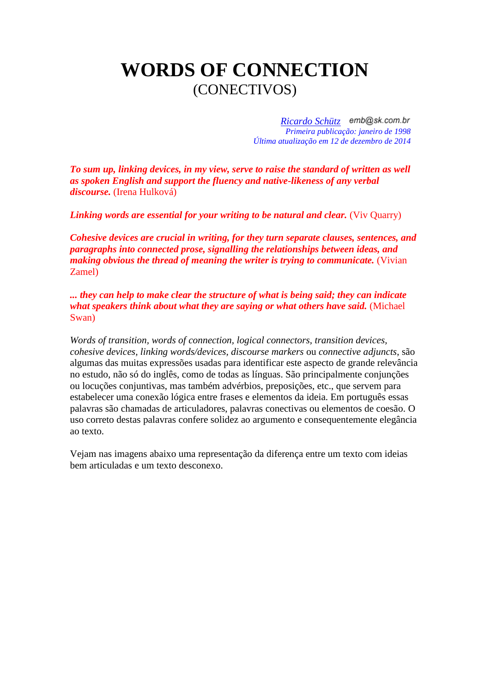# **WORDS OF CONNECTION** (CONECTIVOS)

*[Ricardo Schütz](http://www.sk.com.br/sk-inst.html) Primeira publicação: janeiro de 1998 Última atualização em 12 de dezembro de 2014*

*To sum up, linking devices, in my view, serve to raise the standard of written as well as spoken English and support the fluency and native-likeness of any verbal discourse.* (Irena Hulková)

*Linking words are essential for your writing to be natural and clear.* (Viv Quarry)

*Cohesive devices are crucial in writing, for they turn separate clauses, sentences, and paragraphs into connected prose, signalling the relationships between ideas, and making obvious the thread of meaning the writer is trying to communicate.* (Vivian Zamel)

*... they can help to make clear the structure of what is being said; they can indicate what speakers think about what they are saying or what others have said.* (Michael Swan)

*Words of transition, words of connection, logical connectors, transition devices, cohesive devices, linking words/devices, discourse markers* ou *connective adjuncts*, são algumas das muitas expressões usadas para identificar este aspecto de grande relevância no estudo, não só do inglês, como de todas as línguas. São principalmente conjunções ou locuções conjuntivas, mas também advérbios, preposições, etc., que servem para estabelecer uma conexão lógica entre frases e elementos da ideia. Em português essas palavras são chamadas de articuladores, palavras conectivas ou elementos de coesão. O uso correto destas palavras confere solidez ao argumento e consequentemente elegância ao texto.

Vejam nas imagens abaixo uma representação da diferença entre um texto com ideias bem articuladas e um texto desconexo.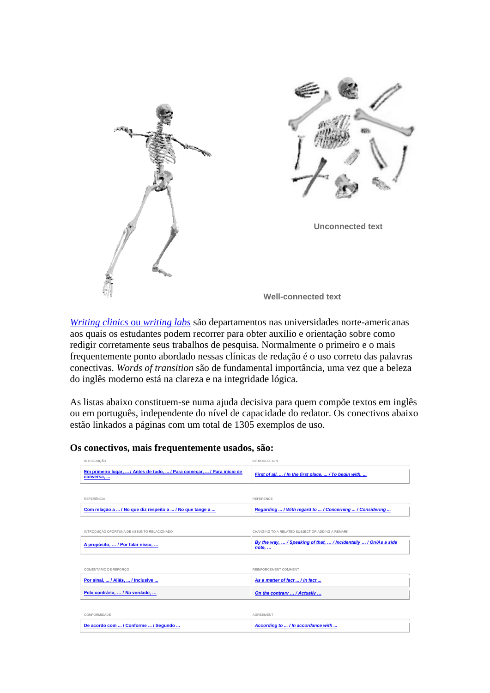

*[Writing clinics](http://www.sk.com.br/sk-wrlab.html)* ou *writing labs* são departamentos nas universidades norte-americanas aos quais os estudantes podem recorrer para obter auxílio e orientação sobre como redigir corretamente seus trabalhos de pesquisa. Normalmente o primeiro e o mais frequentemente ponto abordado nessas clínicas de redação é o uso correto das palavras conectivas. *Words of transition* são de fundamental importância, uma vez que a beleza do inglês moderno está na clareza e na integridade lógica.

As listas abaixo constituem-se numa ajuda decisiva para quem compõe textos em inglês ou em português, independente do nível de capacidade do redator. Os conectivos abaixo estão linkados a páginas com um total de 1305 exemplos de uso.

#### **Os conectivos, mais frequentemente usados, são:**

| <b>INTRODUÇÃO</b>                                                                    | <b>INTRODUCTION</b>                                                       |
|--------------------------------------------------------------------------------------|---------------------------------------------------------------------------|
| Em primeiro lugar,  / Antes de tudo,  / Para começar,  / Para início de<br>conversa, | First of all,  / In the first place,  / To begin with,                    |
|                                                                                      |                                                                           |
| REFERÊNCIA                                                                           | REFERENCE                                                                 |
| Com relação a  / No que diz respeito a  / No que tange a                             | Regarding  / With regard to  / Concerning  / Considering                  |
|                                                                                      |                                                                           |
| INTRODUÇÃO OPORTUNA DE ASSUNTO RELACIONADO                                           | CHANGING TO A RELATED SUBJECT OR ADDING A REMARK                          |
| A propósito,  / Por falar nisso,                                                     | By the way,  / Speaking of that,  / Incidentally  / On/As a side<br>note. |
|                                                                                      |                                                                           |
| COMENTÁRIO DE REFORÇO                                                                | REINFORCEMENT COMMENT                                                     |
| Por sinal.  / Aliás.  / Inclusive                                                    | As a matter of fact  / In fact                                            |
| Pelo contrário,  / Na verdade,                                                       | On the contrary  / Actually                                               |
|                                                                                      |                                                                           |
| CONFORMIDADE                                                                         | AGREEMENT                                                                 |
| De acordo com  / Conforme  / Segundo                                                 | According to  / In accordance with                                        |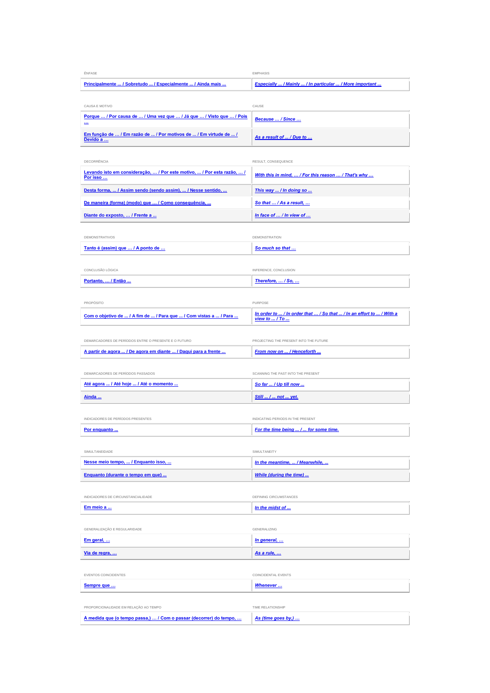| <b>FNFASF</b>                                                                    | <b>FMPHASIS</b>                                         |
|----------------------------------------------------------------------------------|---------------------------------------------------------|
| Principalmente  / Sobretudo  / Especialmente  / Ainda mais                       | Especially  / Mainly  / In particular  / More important |
|                                                                                  |                                                         |
| CAUSA E MOTIVO                                                                   | CAUSE                                                   |
| Porque  / Por causa de  / Uma vez que  / Já que  / Visto que  / Pois<br>$\cdots$ | Because  / Since                                        |
| Em função de  / Em razão de  / Por motivos de  / Em virtude de  /<br>Devido a    | As a result of  / Due to                                |

| DECORRÊNCIA                                                                         | RESULT, CONSEQUENCE                                 |
|-------------------------------------------------------------------------------------|-----------------------------------------------------|
| Levando isto em consideração,  / Por este motivo,  / Por esta razão,  /<br>Por isso | With this in mind,  / For this reason  / That's why |
| Desta forma,  / Assim sendo (sendo assim),  / Nesse sentido,                        | This way  / In doing so                             |
| De maneira (forma) (modo) que  / Como consequência,                                 | So that  / As a result,                             |
| Diante do exposto,  / Frente a                                                      | In face of  / In view of                            |
|                                                                                     |                                                     |
| <b>DEMONSTRATIVOS</b>                                                               | <b>DEMONSTRATION</b>                                |
| Tanto é (assim) que  / A ponto de                                                   | So much so that                                     |
|                                                                                     |                                                     |
| CONCLUSÃO LÓGICA                                                                    | INFERENCE, CONCLUSION                               |
| Portanto,  / Então                                                                  | Therefore,  / So,                                   |
|                                                                                     |                                                     |
| PROPÓSITO                                                                           | PURPOSE                                             |

[Com o objetivo de ... / A fim de ... / Para que ... / Com vistas a ... / Para ...](http://www.sk.com.br/conn/conn11.html) *<u><i>view to ... / In order that ... / So that ... / In an effort to ... / With a*  $\frac{$  *[view to ... / To ...](http://www.sk.com.br/conn/conn11.html)*</u>

| DEMARCADORES DE PERÍODOS ENTRE O PRESENTE E O FUTURO | PROJECTING THE PRESENT INTO THE FUTURE |
|------------------------------------------------------|----------------------------------------|
|                                                      |                                        |

| A partir de agora  / De agora em diante  / Daqui para a frente | From now on  / Henceforth |
|----------------------------------------------------------------|---------------------------|
|                                                                |                           |

| DEMARCADORES DE PERÍODOS PASSADOS                                                                               | SCANNING THE PAST INTO THE PRESENT |
|-----------------------------------------------------------------------------------------------------------------|------------------------------------|
| the contract of the contract of the contract of the contract of the contract of the contract of the contract of |                                    |

| Até agora  / Até hoje  / Até o momento | So far  / Up till now |
|----------------------------------------|-----------------------|
| Ainda                                  | Still  /  not  yet.   |

| INDICADORES DE PERÍODOS PRESENTES | INDICATING PERIODS IN THE PRESENT     |
|-----------------------------------|---------------------------------------|
| Por enquanto                      | For the time being  /  for some time. |
|                                   |                                       |

| SIMUI TANFIDADE                     | SIMULTANEITY                   |
|-------------------------------------|--------------------------------|
| Nesse meio tempo,  / Enguanto isso, | In the meantime,  / Meanwhile, |
| Enquanto (durante o tempo em que)   | While (during the time)        |

| INDICADORES DE CIRCUNSTANCIALIDADE | DEFINING CIRCUMSTANCES |
|------------------------------------|------------------------|
| $\frac{1}{2}$ Em meio a            | In the midst of        |
|                                    |                        |

| GENERALIZAÇÃO E REGULARIDADE | GENERALIZING |
|------------------------------|--------------|
| Em geral,                    | In general,  |
| Via de regra,                | As a rule,   |

| PROPORCIONALIDADE EM RELAÇÃO AO TEMPO                              | TIME RELATIONSHIP     |
|--------------------------------------------------------------------|-----------------------|
| A medida que (o tempo passa,)  / Com o passar (decorrer) do tempo, | $A$ s (time aoes bv.) |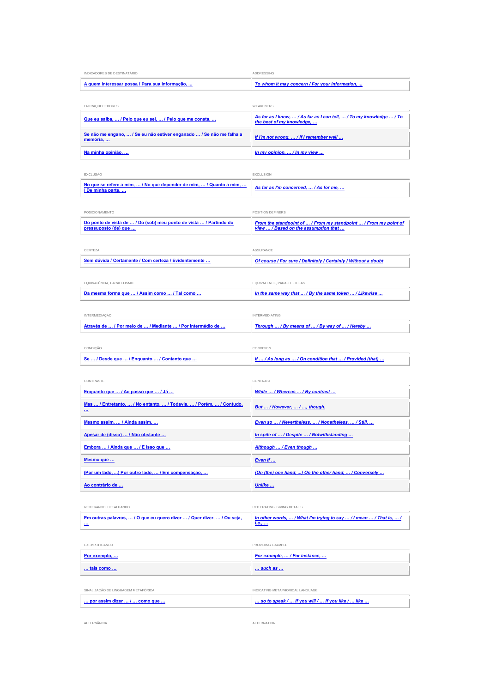| INDICADORES DE DESTINATÁRIO                                                   | <b>ADDRESSING</b>                                                                                |
|-------------------------------------------------------------------------------|--------------------------------------------------------------------------------------------------|
| A quem interessar possa / Para sua informação,                                | To whom it may concern / For your information,                                                   |
|                                                                               |                                                                                                  |
| <b>ENFRAQUECEDORES</b>                                                        | WEAKENERS                                                                                        |
| Que eu saiba,  / Pelo que eu sei,  / Pelo que me consta,                      | As far as I know.  / As far as I can tell.  / To my knowledge  / To<br>the best of my knowledge, |
| Se não me engano / Se eu não estiver enganado  / Se não me falha a<br>memória | If I'm not wrong,  / If I remember well                                                          |
| Na minha opinião,                                                             | In my opinion,  / In my view                                                                     |

| <b>EXCLUSÃO</b>                                                                         | <b>EXCLUSION</b>                       |
|-----------------------------------------------------------------------------------------|----------------------------------------|
| No que se refere a mim,  / No que depender de mim,  / Quanto a mim,<br>/ De minha parte | As far as I'm concerned,  / As for me, |
|                                                                                         |                                        |

| POSICIONAMENTO                                                     | POSITION DEFINERS                                                |
|--------------------------------------------------------------------|------------------------------------------------------------------|
| Do ponto de vista de  / Do (sob) meu ponto de vista  / Partindo do | From the standpoint of  / From my standpoint  / From my point of |
| pressuposto (de) que                                               | view  / Based on the assumption that                             |

| CERTEZA                                               | <b>ASSURANCE</b>                                                               |
|-------------------------------------------------------|--------------------------------------------------------------------------------|
| Sem dúvida / Certamente / Com certeza / Evidentemente | Of course / For sure / Definitely / Certainly / Without a doubt                |
|                                                       |                                                                                |
| EQUIVALÊNCIA, PARALELISMO                             | EQUIVALENCE, PARALLEL IDEAS                                                    |
| Da mesma forma que  / Assim como  / Tal como          | In the same way that $\ldots$ / By the same token $\ldots$ / Likewise $\ldots$ |
|                                                       |                                                                                |
| <b>INTERMEDIACÃO</b>                                  | <b>INTERMEDIATING</b>                                                          |

| Através de  / Por mejo de  / Mediante  / Por intermédio de | <sup>1</sup> Through  / By means of  / By way of  / Hereby |
|------------------------------------------------------------|------------------------------------------------------------|
|                                                            |                                                            |

| CONDIÇÃO                                    | CONDITION                                                |
|---------------------------------------------|----------------------------------------------------------|
| Se  / Desde que  / Enquanto  / Contanto que | If  / As long as  / On condition that  / Provided (that) |

| CONTRASTE                                                                 | CONTRAST                                               |
|---------------------------------------------------------------------------|--------------------------------------------------------|
| Enquanto que  / Ao passo que  / Já                                        | While  / Whereas  / By contrast                        |
| Mas  / Entretanto,  / No entanto,  / Todavia,  / Porém,  / Contudo,<br>22 | But  / However,  / , though.                           |
| Mesmo assim,  / Ainda assim,                                              | Even so  / Nevertheless.  / Nonetheless.  / Still.     |
| Apesar de (disso)  / Não obstante                                         | In spite of  / Despite  / Notwithstanding              |
| Embora  / Ainda que  / E isso que                                         | Although  / Even though                                |
| Mesmo que                                                                 | Even if                                                |
| (Por um lado, ) Por outro lado,  / Em compensação,                        | (On (the) one hand, ) On the other hand,  / Conversely |
| Ao contrário de                                                           | Unlike                                                 |

| REITERANDO, DETALHANDO                                                                 | REITERATING, GIVING DETAILS                                                         |
|----------------------------------------------------------------------------------------|-------------------------------------------------------------------------------------|
| Em outras palavras,  / O que eu quero dizer  / Quer dizer,  / Ou seja,<br>$\mathbf{m}$ | In other words,  / What I'm trying to say  / I mean  / That is,  /<br><u>i.e., </u> |
|                                                                                        |                                                                                     |
| <b>EXEMPLIFICANDO</b>                                                                  | PROVIDING EXAMPLE                                                                   |
| Por exemplo,                                                                           | For example,  / For instance,                                                       |
| $\dots$ tais como $\dots$                                                              | $$ such as $$                                                                       |
|                                                                                        |                                                                                     |
| SINALIZAÇÃO DE LINGUAGEM METAFÓRICA                                                    | INDICATING METAPHORICAL LANGUAGE                                                    |
| por assim dizer $\dots$ / $\dots$ como que $\dots$                                     | so to speak /  if you will /  if you like /  like                                   |

ALTERNÂNCIA ALTERNATION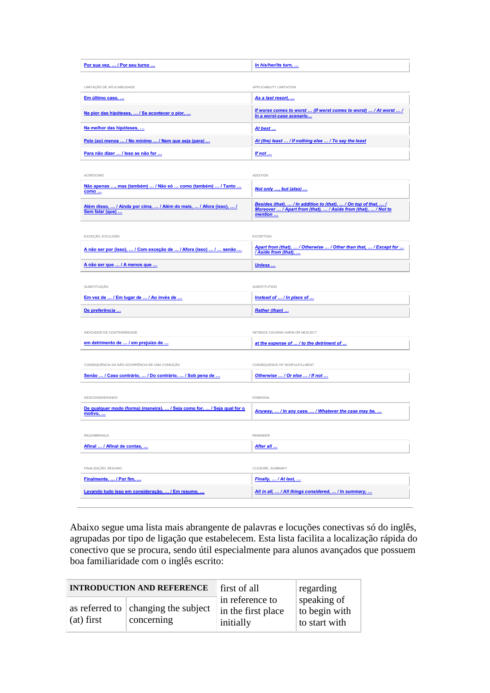| Por sua vez,  / Por seu turno                       | In his/her/its turn,                                                                          |
|-----------------------------------------------------|-----------------------------------------------------------------------------------------------|
|                                                     |                                                                                               |
| LIMITACÃO DE APLICABILIDADE                         | APPI ICABILITY I IMITATION                                                                    |
| Em último caso,                                     | As a last resort,                                                                             |
| Na pior das hipóteses,  / Se acontecer o pior,      | If worse comes to worst  (If worst comes to worst)  / At worst  /<br>In a worst-case scenario |
| Na melhor das hipóteses                             | At best                                                                                       |
| Pelo (ao) menos  / No mínimo  / Nem que seja (para) | At (the) least  / If nothing else  / To say the least                                         |
| Para não dizer  / Isso se não for                   | If not                                                                                        |

| ACRÉSCIMO                                                                              | <b>ADDITION</b>                                                                                                                              |
|----------------------------------------------------------------------------------------|----------------------------------------------------------------------------------------------------------------------------------------------|
| Não apenas , mas (também)  / Não só  como (também)  / Tanto<br>como                    | Not only , but (also)                                                                                                                        |
| Além disso,  / Ainda por cima,  / Além do mais,  / Afora (isso),  /<br>Sem falar (que) | Besides (that),  / In addition to (that),  / On top of that,  /<br>Moreover  / Apart from (that),  / Aside from (that),  / Not to<br>mention |

| EXCECÃO, EXCLUSÃO                                                 | <b>FXCEPTION</b>                                                                         |
|-------------------------------------------------------------------|------------------------------------------------------------------------------------------|
| A não ser por (isso),  / Com exceção de  / Afora (isso)  /  senão | Apart from (that),  / Otherwise  / Other than that,  / Except for<br>/Aside from (that), |
| A não ser que  / A menos que                                      | Unless                                                                                   |

| SUBSTITUICAO                            | SUBSTITUTION              |
|-----------------------------------------|---------------------------|
| Em vez de  / Em lugar de  / Ao invés de | Instead of  / In place of |
| De preferência                          | Rather (than)             |
|                                         |                           |

| INDICADOR DE CONTRARIEDADE         | SETBACK CAUSING HARM OR NEGLECT          |
|------------------------------------|------------------------------------------|
| em detrimento de  / em prejuízo de | at the expense of  / to the detriment of |
|                                    |                                          |

| CONSEQUÊNCIA DA NÃO-OCORRÊNCIA DE UMA CONDIÇÃO                                      | CONSEQUENCE OF NONFULFILLMENT                        |
|-------------------------------------------------------------------------------------|------------------------------------------------------|
| Senão  / Caso contrário,  / Do contrário,  / Sob pena de                            | Otherwise  / Or else  / If not                       |
|                                                                                     |                                                      |
| DESCONSIDERANDO                                                                     | <b>DISMISSAL</b>                                     |
| De qualquer modo (forma) (maneira),  / Seja como for,  / Seja qual for o<br>motivo, | Anyway,  / In any case,  / Whatever the case may be, |
|                                                                                     |                                                      |
| RELEMBRANÇA                                                                         | <b>REMINDER</b>                                      |
| Afinal  / Afinal de contas,                                                         | After all                                            |
|                                                                                     |                                                      |
| FINALIZAÇÃO, RESUMO                                                                 | CLOSURE, SUMMARY                                     |

| Finalmente,  / Por fim,                          | Finally, $$ / At last, $$                            |
|--------------------------------------------------|------------------------------------------------------|
| Levando tudo isso em consideração,  / Em resumo, | All in all,  / All things considered,  / In summary, |

Abaixo segue uma lista mais abrangente de palavras e locuções conectivas só do inglês, agrupadas por tipo de ligação que estabelecem. Esta lista facilita a localização rápida do conectivo que se procura, sendo útil especialmente para alunos avançados que possuem boa familiaridade com o inglês escrito:

| <b>INTRODUCTION AND REFERENCE</b> |                                                           | first of all                                       | regarding                                     |
|-----------------------------------|-----------------------------------------------------------|----------------------------------------------------|-----------------------------------------------|
| (at) first                        | as referred to $\vert$ changing the subject<br>concerning | in reference to<br>in the first place<br>initially | speaking of<br>to begin with<br>to start with |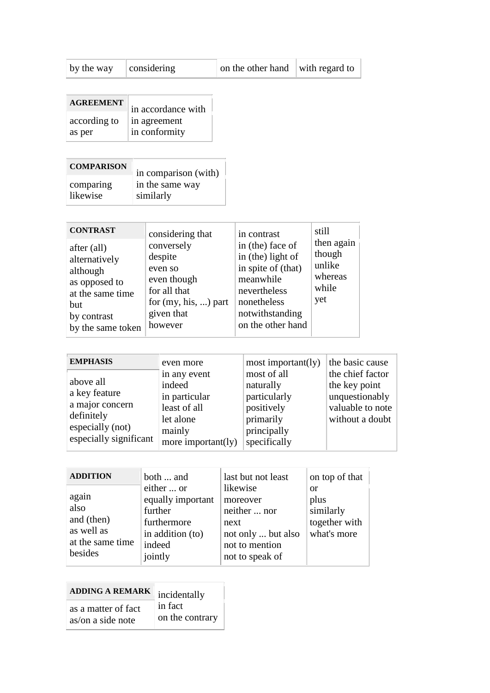| by the way | considering | on the other hand $\ $ with regard to |  |
|------------|-------------|---------------------------------------|--|
|            |             |                                       |  |

| <b>AGREEMENT</b> | in accordance with |
|------------------|--------------------|
| according to     | in agreement       |
| as per           | in conformity      |

| <b>COMPARISON</b> | in comparison (with) |
|-------------------|----------------------|
| comparing         | in the same way      |
| likewise          | similarly            |

| <b>CONTRAST</b><br>after (all)<br>alternatively<br>although<br>as opposed to<br>at the same time<br>but<br>by contrast<br>by the same token | considering that<br>conversely<br>despite<br>even so<br>even though<br>for all that<br>for $(my, his, )$ part<br>given that<br>however | in contrast<br>in (the) face of<br>in (the) light of<br>in spite of (that)<br>meanwhile<br>nevertheless<br>nonetheless<br>notwithstanding<br>on the other hand | still<br>then again<br>though<br>unlike<br>whereas<br>while<br>yet |
|---------------------------------------------------------------------------------------------------------------------------------------------|----------------------------------------------------------------------------------------------------------------------------------------|----------------------------------------------------------------------------------------------------------------------------------------------------------------|--------------------------------------------------------------------|
|---------------------------------------------------------------------------------------------------------------------------------------------|----------------------------------------------------------------------------------------------------------------------------------------|----------------------------------------------------------------------------------------------------------------------------------------------------------------|--------------------------------------------------------------------|

| <b>EMPHASIS</b>                                                                 | even more                                                                      | most important(ly)                                                                 | the basic cause                                                                            |
|---------------------------------------------------------------------------------|--------------------------------------------------------------------------------|------------------------------------------------------------------------------------|--------------------------------------------------------------------------------------------|
| above all<br>a key feature<br>a major concern<br>definitely<br>especially (not) | in any event<br>indeed<br>in particular<br>least of all<br>let alone<br>mainly | most of all<br>naturally<br>particularly<br>positively<br>primarily<br>principally | the chief factor<br>the key point<br>unquestionably<br>valuable to note<br>without a doubt |
| especially significant                                                          | more important(ly)                                                             | specifically                                                                       |                                                                                            |

| <b>ADDITION</b>  | both  and         | last but not least | on top of that |
|------------------|-------------------|--------------------|----------------|
|                  | either  or        | likewise           | or             |
| again            | equally important | moreover           | plus           |
| also             | further           | neither  nor       | similarly      |
| and (then)       | furthermore       | next               | together with  |
| as well as       | in addition (to)  | not only  but also | what's more    |
| at the same time | indeed            | not to mention     |                |
| besides          | jointly           | not to speak of    |                |

| <b>ADDING A REMARK</b> incidentally |                 |
|-------------------------------------|-----------------|
| as a matter of fact                 | $\ln$ fact      |
| as/on a side note                   | on the contrary |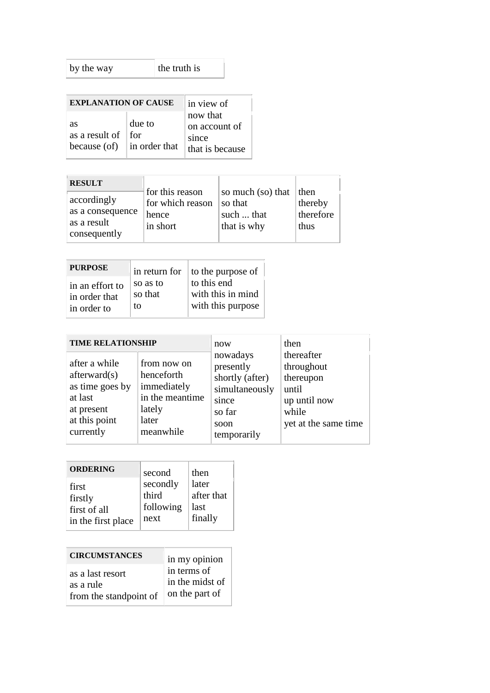| by the way | the truth is |  |
|------------|--------------|--|
|            |              |  |

| <b>EXPLANATION OF CAUSE</b>                   |                         | in view of                                            |
|-----------------------------------------------|-------------------------|-------------------------------------------------------|
| as<br>as a result of $\ $ for<br>because (of) | due to<br>in order that | now that<br>on account of<br>since<br>that is because |

| <b>RESULT</b>    |                                     |                                       |           |
|------------------|-------------------------------------|---------------------------------------|-----------|
| accordingly      | for this reason<br>for which reason | so much (so) that $ $ then<br>so that | thereby   |
| as a consequence | hence                               | such  that                            | therefore |
| as a result      | in short                            | that is why                           | thus      |
| consequently     |                                     |                                       |           |

| <b>PURPOSE</b>  | in return for | to the purpose of |
|-----------------|---------------|-------------------|
| in an effort to | so as to      | to this end       |
| in order that   | so that       | with this in mind |
| in order to     | tΩ            | with this purpose |

| <b>TIME RELATIONSHIP</b>                                                                                |                                                                                             | now                                                                                                  | then                                                                                            |
|---------------------------------------------------------------------------------------------------------|---------------------------------------------------------------------------------------------|------------------------------------------------------------------------------------------------------|-------------------------------------------------------------------------------------------------|
| after a while<br>afterward(s)<br>as time goes by<br>at last<br>at present<br>at this point<br>currently | from now on<br>henceforth<br>immediately<br>in the meantime<br>lately<br>later<br>meanwhile | nowadays<br>presently<br>shortly (after)<br>simultaneously<br>since<br>so far<br>soon<br>temporarily | thereafter<br>throughout<br>thereupon<br>until<br>up until now<br>while<br>yet at the same time |

| <b>ORDERING</b>                                        | second                                 | then                                   |
|--------------------------------------------------------|----------------------------------------|----------------------------------------|
| first<br>firstly<br>first of all<br>in the first place | secondly<br>third<br>following<br>next | later<br>after that<br>last<br>finally |

| <b>CIRCUMSTANCES</b>   | in my opinion   |
|------------------------|-----------------|
| as a last resort       | in terms of     |
| as a rule              | in the midst of |
| from the standpoint of | on the part of  |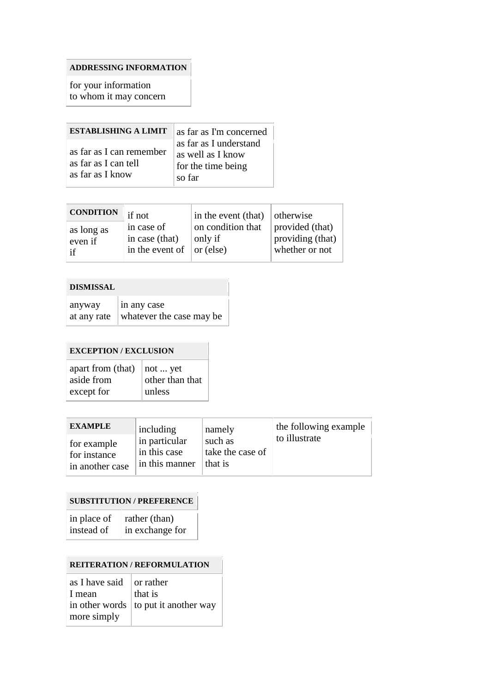## **ADDRESSING INFORMATION**

for your information to whom it may concern

| <b>ESTABLISHING A LIMIT</b>                                          | as far as I'm concerned                                                     |
|----------------------------------------------------------------------|-----------------------------------------------------------------------------|
| as far as I can remember<br>as far as I can tell<br>as far as I know | as far as I understand<br>as well as I know<br>for the time being<br>so far |

| <b>CONDITION</b>            | $\mathbb{I}$ if not                                               | in the event (that) $\vert$ otherwise |                                                       |
|-----------------------------|-------------------------------------------------------------------|---------------------------------------|-------------------------------------------------------|
| as long as<br>even if<br>if | in case of<br>in case (that)<br>in the event of $\vert$ or (else) | on condition that<br>only if          | provided (that)<br>providing (that)<br>whether or not |

#### **DISMISSAL**

| anyway | $\ln$ any case                                   |
|--------|--------------------------------------------------|
|        | at any rate $\parallel$ whatever the case may be |

#### **EXCEPTION / EXCLUSION**

| apart from (that) $\parallel$ not  yet |                         |
|----------------------------------------|-------------------------|
| aside from                             | $\vert$ other than that |
| except for                             | $ $ unless              |

| <b>EXAMPLE</b>  | including      | namely           | the following example |
|-----------------|----------------|------------------|-----------------------|
| for example     | in particular  | such as          | to illustrate         |
| for instance    | in this case   | take the case of |                       |
| in another case | in this manner | that is          |                       |

## **SUBSTITUTION / PREFERENCE**

| in place of | $\vert$ rather (than)   |
|-------------|-------------------------|
| instead of  | $\vert$ in exchange for |

### **REITERATION / REFORMULATION**

| as I have said $\vert$ or rather |                                              |
|----------------------------------|----------------------------------------------|
| I mean                           | that is                                      |
|                                  | in other words $\vert$ to put it another way |
| more simply                      |                                              |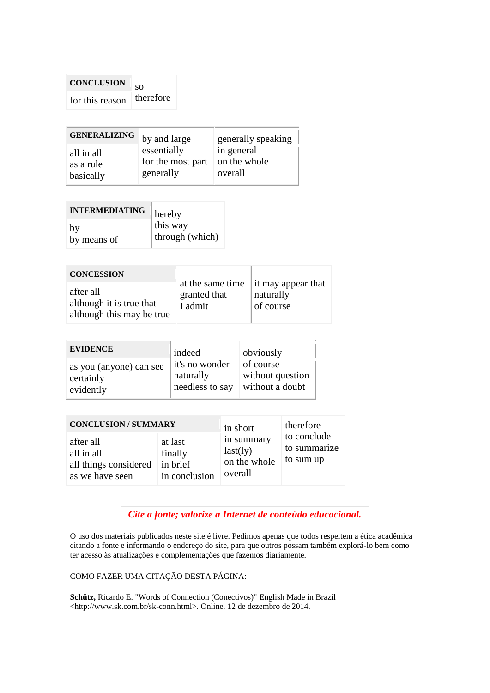| <b>CONCLUSION</b> | SO <sub>2</sub> |  |
|-------------------|-----------------|--|
| for this reason   | therefore       |  |

| <b>GENERALIZING</b> by and large |                   | generally speaking |
|----------------------------------|-------------------|--------------------|
| all in all                       | essentially       | in general         |
| as a rule                        | for the most part | on the whole       |
| basically                        | generally         | overall            |

| <b>INTERMEDIATING</b> | hereby          |
|-----------------------|-----------------|
| by                    | this way        |
| by means of           | through (which) |

| <b>CONCESSION</b>         |                  |                    |
|---------------------------|------------------|--------------------|
| after all                 | at the same time | it may appear that |
| although it is true that  | granted that     | naturally          |
| although this may be true | I admit          | of course          |

| <b>EVIDENCE</b>         | indeed          | obviously        |  |
|-------------------------|-----------------|------------------|--|
| as you (anyone) can see | it's no wonder  | of course        |  |
| certainly               | naturally       | without question |  |
| evidently               | needless to say | without a doubt  |  |

| <b>CONCLUSION / SUMMARY</b>                                         |                                                 | in short                                          | therefore                                |
|---------------------------------------------------------------------|-------------------------------------------------|---------------------------------------------------|------------------------------------------|
| after all<br>all in all<br>all things considered<br>as we have seen | at last<br>finally<br>in brief<br>in conclusion | in summary<br>last(ly)<br>on the whole<br>overall | to conclude<br>to summarize<br>to sum up |

*Cite a fonte; valorize a Internet de conteúdo educacional.*

O uso dos materiais publicados neste site é livre. Pedimos apenas que todos respeitem a ética acadêmica citando a fonte e informando o endereço do site, para que outros possam também explorá-lo bem como ter acesso às atualizações e complementações que fazemos diariamente.

COMO FAZER UMA CITAÇÃO DESTA PÁGINA:

**Schütz,** Ricardo E. "Words of Connection (Conectivos)" English Made in Brazil <http://www.sk.com.br/sk-conn.html>. Online. 12 de dezembro de 2014.